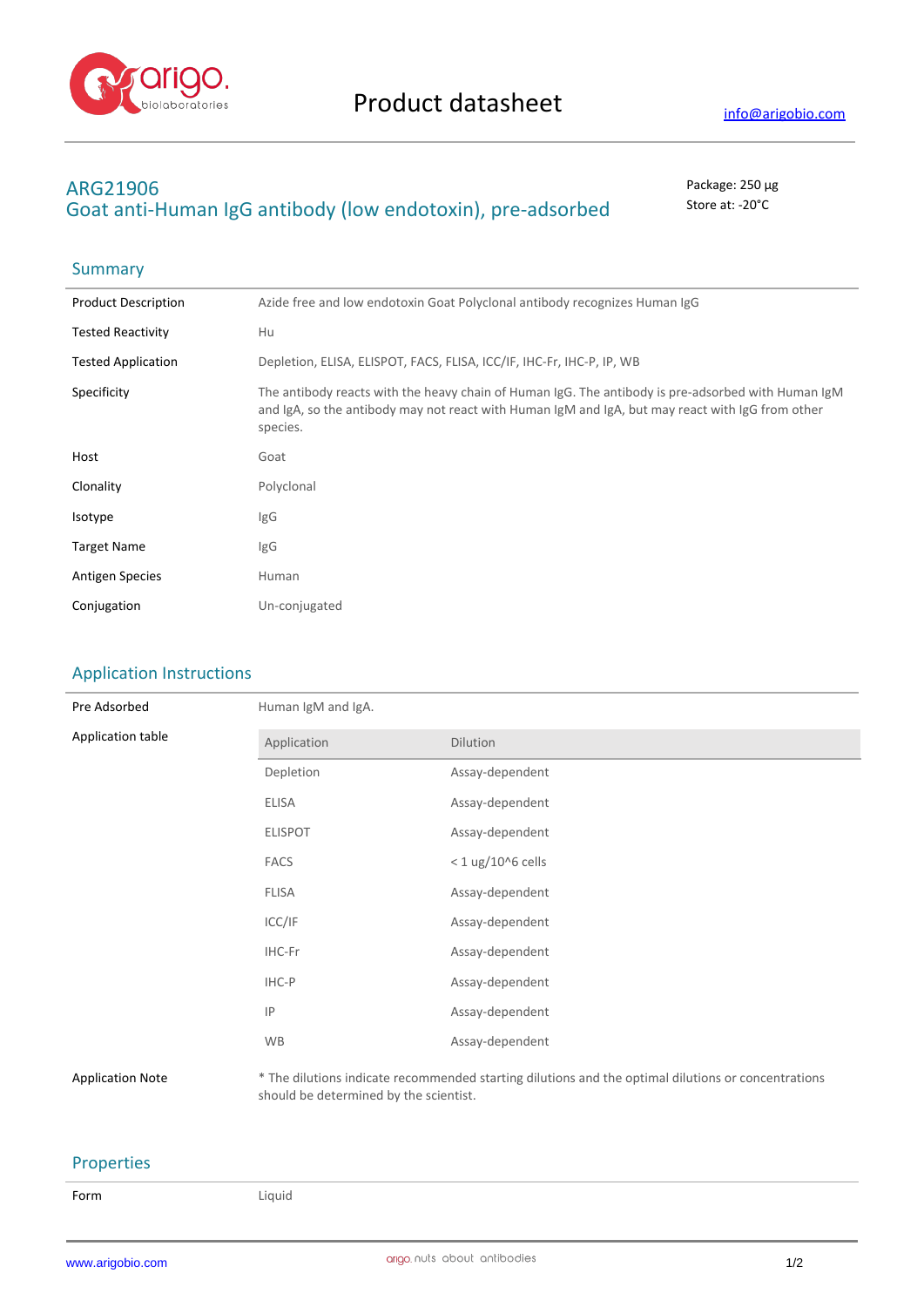

## **ARG21906** Package: 250 μg Goat anti-Human IgG antibody (low endotoxin), pre-adsorbed store at: -20°C

## Summary

| <b>Product Description</b> | Azide free and low endotoxin Goat Polyclonal antibody recognizes Human IgG                                                                                                                                         |
|----------------------------|--------------------------------------------------------------------------------------------------------------------------------------------------------------------------------------------------------------------|
| <b>Tested Reactivity</b>   | Hu                                                                                                                                                                                                                 |
| <b>Tested Application</b>  | Depletion, ELISA, ELISPOT, FACS, FLISA, ICC/IF, IHC-Fr, IHC-P, IP, WB                                                                                                                                              |
| Specificity                | The antibody reacts with the heavy chain of Human IgG. The antibody is pre-adsorbed with Human IgM<br>and IgA, so the antibody may not react with Human IgM and IgA, but may react with IgG from other<br>species. |
| Host                       | Goat                                                                                                                                                                                                               |
| Clonality                  | Polyclonal                                                                                                                                                                                                         |
| Isotype                    | IgG                                                                                                                                                                                                                |
| <b>Target Name</b>         | IgG                                                                                                                                                                                                                |
| <b>Antigen Species</b>     | Human                                                                                                                                                                                                              |
| Conjugation                | Un-conjugated                                                                                                                                                                                                      |
|                            |                                                                                                                                                                                                                    |

## Application Instructions

| Pre Adsorbed            | Human IgM and IgA. |                                                                                                     |  |
|-------------------------|--------------------|-----------------------------------------------------------------------------------------------------|--|
| Application table       | Application        | Dilution                                                                                            |  |
|                         | Depletion          | Assay-dependent                                                                                     |  |
|                         | <b>ELISA</b>       | Assay-dependent                                                                                     |  |
|                         | <b>ELISPOT</b>     | Assay-dependent                                                                                     |  |
|                         | <b>FACS</b>        | $<$ 1 ug/10^6 cells                                                                                 |  |
|                         | <b>FLISA</b>       | Assay-dependent                                                                                     |  |
|                         | ICC/IF             | Assay-dependent                                                                                     |  |
|                         | IHC-Fr             | Assay-dependent                                                                                     |  |
|                         | IHC-P              | Assay-dependent                                                                                     |  |
|                         | IP                 | Assay-dependent                                                                                     |  |
|                         | <b>WB</b>          | Assay-dependent                                                                                     |  |
| <b>Application Note</b> |                    | * The dilutions indicate recommended starting dilutions and the optimal dilutions or concentrations |  |

should be determined by the scientist.

## Properties